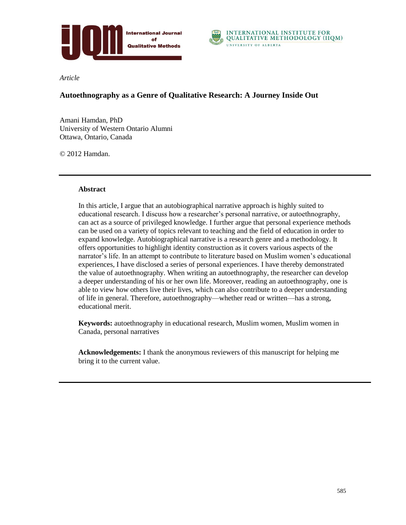



## *Article*

# **Autoethnography as a Genre of Qualitative Research: A Journey Inside Out**

Amani Hamdan, PhD University of Western Ontario Alumni Ottawa, Ontario, Canada

© 2012 Hamdan.

### **Abstract**

In this article, I argue that an autobiographical narrative approach is highly suited to educational research. I discuss how a researcher's personal narrative, or autoethnography, can act as a source of privileged knowledge. I further argue that personal experience methods can be used on a variety of topics relevant to teaching and the field of education in order to expand knowledge. Autobiographical narrative is a research genre and a methodology. It offers opportunities to highlight identity construction as it covers various aspects of the narrator's life. In an attempt to contribute to literature based on Muslim women's educational experiences, I have disclosed a series of personal experiences. I have thereby demonstrated the value of autoethnography. When writing an autoethnography, the researcher can develop a deeper understanding of his or her own life. Moreover, reading an autoethnography, one is able to view how others live their lives, which can also contribute to a deeper understanding of life in general. Therefore, autoethnography—whether read or written—has a strong, educational merit.

**Keywords:** autoethnography in educational research, Muslim women, Muslim women in Canada, personal narratives

**Acknowledgements:** I thank the anonymous reviewers of this manuscript for helping me bring it to the current value.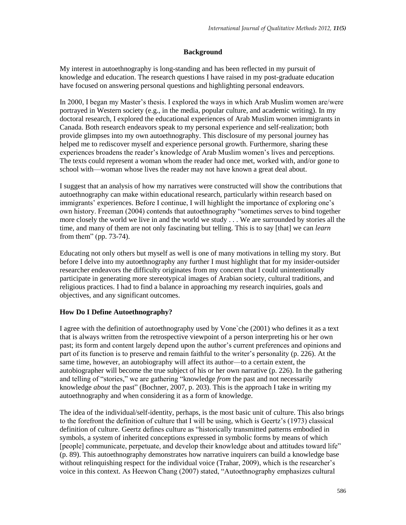### **Background**

My interest in autoethnography is long-standing and has been reflected in my pursuit of knowledge and education. The research questions I have raised in my post-graduate education have focused on answering personal questions and highlighting personal endeavors.

In 2000, I began my Master's thesis. I explored the ways in which Arab Muslim women are/were portrayed in Western society (e.g., in the media, popular culture, and academic writing). In my doctoral research, I explored the educational experiences of Arab Muslim women immigrants in Canada. Both research endeavors speak to my personal experience and self-realization; both provide glimpses into my own autoethnography. This disclosure of my personal journey has helped me to rediscover myself and experience personal growth. Furthermore, sharing these experiences broadens the reader's knowledge of Arab Muslim women's lives and perceptions. The texts could represent a woman whom the reader had once met, worked with, and/or gone to school with—woman whose lives the reader may not have known a great deal about.

I suggest that an analysis of how my narratives were constructed will show the contributions that autoethnography can make within educational research, particularly within research based on immigrants' experiences. Before I continue, I will highlight the importance of exploring one's own history. Freeman (2004) contends that autoethnography "sometimes serves to bind together more closely the world we live in and the world we study . . . We are surrounded by stories all the time, and many of them are not only fascinating but telling. This is to say [that] we can *learn* from them" (pp. 73-74).

Educating not only others but myself as well is one of many motivations in telling my story. But before I delve into my autoethnography any further I must highlight that for my insider-outsider researcher endeavors the difficulty originates from my concern that I could unintentionally participate in generating more stereotypical images of Arabian society, cultural traditions, and religious practices. I had to find a balance in approaching my research inquiries, goals and objectives, and any significant outcomes.

### **How Do I Define Autoethnography?**

I agree with the definition of autoethnography used by Vone`che (2001) who defines it as a text that is always written from the retrospective viewpoint of a person interpreting his or her own past; its form and content largely depend upon the author's current preferences and opinions and part of its function is to preserve and remain faithful to the writer's personality (p. 226). At the same time, however, an autobiography will affect its author—to a certain extent, the autobiographer will become the true subject of his or her own narrative (p. 226). In the gathering and telling of "stories," we are gathering "knowledge *from* the past and not necessarily knowledge *about* the past" (Bochner, 2007, p. 203). This is the approach I take in writing my autoethnography and when considering it as a form of knowledge.

The idea of the individual/self-identity, perhaps, is the most basic unit of culture. This also brings to the forefront the definition of culture that I will be using, which is Geertz's (1973) classical definition of culture. Geertz defines culture as "historically transmitted patterns embodied in symbols, a system of inherited conceptions expressed in symbolic forms by means of which [people] communicate, perpetuate, and develop their knowledge about and attitudes toward life" (p. 89). This autoethnography demonstrates how narrative inquirers can build a knowledge base without relinquishing respect for the individual voice (Trahar, 2009), which is the researcher's voice in this context. As Heewon Chang (2007) stated, "Autoethnography emphasizes cultural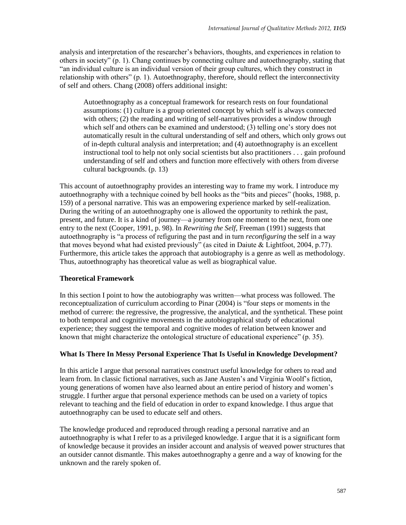analysis and interpretation of the researcher's behaviors, thoughts, and experiences in relation to others in society" (p. 1). Chang continues by connecting culture and autoethnography, stating that "an individual culture is an individual version of their group cultures, which they construct in relationship with others" (p. 1). Autoethnography, therefore, should reflect the interconnectivity of self and others. Chang (2008) offers additional insight:

Autoethnography as a conceptual framework for research rests on four foundational assumptions: (1) culture is a group oriented concept by which self is always connected with others; (2) the reading and writing of self-narratives provides a window through which self and others can be examined and understood; (3) telling one's story does not automatically result in the cultural understanding of self and others, which only grows out of in-depth cultural analysis and interpretation; and (4) autoethnography is an excellent instructional tool to help not only social scientists but also practitioners . . . gain profound understanding of self and others and function more effectively with others from diverse cultural backgrounds. (p. 13)

This account of autoethnography provides an interesting way to frame my work. I introduce my autoethnography with a technique coined by bell hooks as the "bits and pieces" (hooks, 1988, p. 159) of a personal narrative. This was an empowering experience marked by self-realization. During the writing of an autoethnography one is allowed the opportunity to rethink the past, present, and future. It is a kind of journey—a journey from one moment to the next, from one entry to the next (Cooper, 1991, p. 98). In *Rewriting the Self*, Freeman (1991) suggests that autoethnography is "a process of refiguring the past and in turn *reconfiguring* the self in a way that moves beyond what had existed previously<sup>5</sup> (as cited in Daiute & Lightfoot, 2004, p.77). Furthermore, this article takes the approach that autobiography is a genre as well as methodology. Thus, autoethnography has theoretical value as well as biographical value.

### **Theoretical Framework**

In this section I point to how the autobiography was written—what process was followed. The reconceptualization of curriculum according to Pinar (2004) is "four steps or moments in the method of currere: the regressive, the progressive, the analytical, and the synthetical. These point to both temporal and cognitive movements in the autobiographical study of educational experience; they suggest the temporal and cognitive modes of relation between knower and known that might characterize the ontological structure of educational experience" (p. 35).

### **What Is There In Messy Personal Experience That Is Useful in Knowledge Development?**

In this article I argue that personal narratives construct useful knowledge for others to read and learn from. In classic fictional narratives, such as Jane Austen's and Virginia Woolf's fiction, young generations of women have also learned about an entire period of history and women's struggle. I further argue that personal experience methods can be used on a variety of topics relevant to teaching and the field of education in order to expand knowledge. I thus argue that autoethnography can be used to educate self and others.

The knowledge produced and reproduced through reading a personal narrative and an autoethnography is what I refer to as a privileged knowledge. I argue that it is a significant form of knowledge because it provides an insider account and analysis of weaved power structures that an outsider cannot dismantle. This makes autoethnography a genre and a way of knowing for the unknown and the rarely spoken of.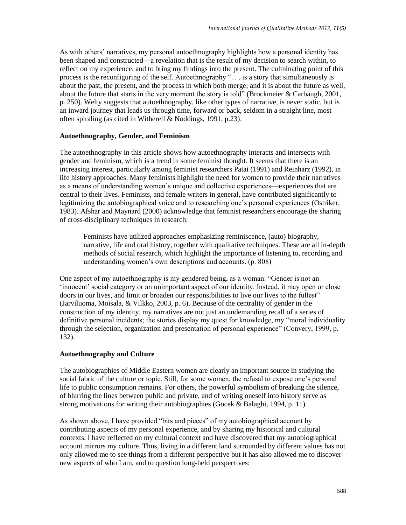As with others' narratives, my personal autoethnography highlights how a personal identity has been shaped and constructed—a revelation that is the result of my decision to search within, to reflect on my experience, and to bring my findings into the present. The culminating point of this process is the reconfiguring of the self. Autoethnography ". . . is a story that simultaneously is about the past, the present, and the process in which both merge; and it is about the future as well, about the future that starts in the very moment the story is told" (Brockmeier & Carbaugh, 2001, p. 250). Welty suggests that autoethnography, like other types of narrative, is never static, but is an inward journey that leads us through time, forward or back, seldom in a straight line, most often spiraling (as cited in Witherell & Noddings, 1991, p.23).

#### **Autoethnography, Gender, and Feminism**

The autoethnography in this article shows how autoethnography interacts and intersects with gender and feminism, which is a trend in some feminist thought. It seems that there is an increasing interest, particularly among feminist researchers Patai (1991) and Reinharz (1992), in life history approaches. Many feminists highlight the need for women to provide their narratives as a means of understanding women's unique and collective experiences—experiences that are central to their lives. Feminists, and female writers in general, have contributed significantly to legitimizing the autobiographical voice and to researching one's personal experiences (Ostriker, 1983). Afshar and Maynard (2000) acknowledge that feminist researchers encourage the sharing of cross-disciplinary techniques in research:

Feminists have utilized approaches emphasizing reminiscence, (auto) biography, narrative, life and oral history, together with qualitative techniques. These are all in-depth methods of social research, which highlight the importance of listening to, recording and understanding women's own descriptions and accounts. (p. 808)

One aspect of my autoethnography is my gendered being, as a woman. "Gender is not an 'innocent' social category or an unimportant aspect of our identity. Instead, it may open or close doors in our lives, and limit or broaden our responsibilities to live our lives to the fullest" (Jarviluoma, Moisala, & Vilkko, 2003, p. 6). Because of the centrality of gender in the construction of my identity, my narratives are not just an undemanding recall of a series of definitive personal incidents; the stories display my quest for knowledge, my "moral individuality through the selection, organization and presentation of personal experience" (Convery, 1999, p. 132).

### **Autoethnography and Culture**

The autobiographies of Middle Eastern women are clearly an important source in studying the social fabric of the culture or topic. Still, for some women, the refusal to expose one's personal life to public consumption remains. For others, the powerful symbolism of breaking the silence, of blurring the lines between public and private, and of writing oneself into history serve as strong motivations for writing their autobiographies (Gocek & Balaghi, 1994, p. 11).

As shown above, I have provided "bits and pieces" of my autobiographical account by contributing aspects of my personal experience, and by sharing my historical and cultural contexts. I have reflected on my cultural context and have discovered that my autobiographical account mirrors my culture. Thus, living in a different land surrounded by different values has not only allowed me to see things from a different perspective but it has also allowed me to discover new aspects of who I am, and to question long-held perspectives: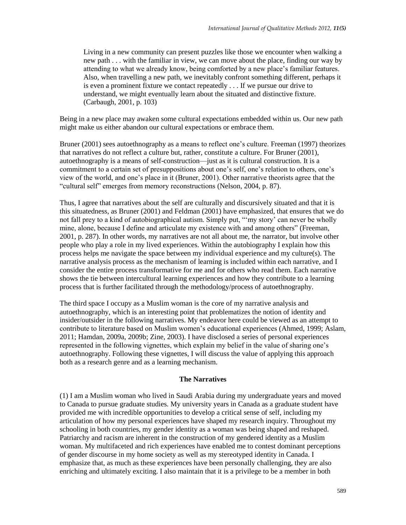Living in a new community can present puzzles like those we encounter when walking a new path . . . with the familiar in view, we can move about the place, finding our way by attending to what we already know, being comforted by a new place's familiar features. Also, when travelling a new path, we inevitably confront something different, perhaps it is even a prominent fixture we contact repeatedly . . . If we pursue our drive to understand, we might eventually learn about the situated and distinctive fixture. (Carbaugh, 2001, p. 103)

Being in a new place may awaken some cultural expectations embedded within us. Our new path might make us either abandon our cultural expectations or embrace them.

Bruner (2001) sees autoethnography as a means to reflect one's culture. Freeman (1997) theorizes that narratives do not reflect a culture but, rather, constitute a culture. For Bruner (2001), autoethnography is a means of self-construction—just as it is cultural construction. It is a commitment to a certain set of presuppositions about one's self, one's relation to others, one's view of the world, and one's place in it (Bruner, 2001). Other narrative theorists agree that the "cultural self" emerges from memory reconstructions (Nelson, 2004, p. 87).

Thus, I agree that narratives about the self are culturally and discursively situated and that it is this situatedness, as Bruner (2001) and Feldman (2001) have emphasized, that ensures that we do not fall prey to a kind of autobiographical autism. Simply put, "'my story' can never be wholly mine, alone, because I define and articulate my existence with and among others" (Freeman, 2001, p. 287). In other words, my narratives are not all about me, the narrator, but involve other people who play a role in my lived experiences. Within the autobiography I explain how this process helps me navigate the space between my individual experience and my culture(s). The narrative analysis process as the mechanism of learning is included within each narrative, and I consider the entire process transformative for me and for others who read them. Each narrative shows the tie between intercultural learning experiences and how they contribute to a learning process that is further facilitated through the methodology/process of autoethnography.

The third space I occupy as a Muslim woman is the core of my narrative analysis and autoethnography, which is an interesting point that problematizes the notion of identity and insider/outsider in the following narratives. My endeavor here could be viewed as an attempt to contribute to literature based on Muslim women's educational experiences (Ahmed, 1999; Aslam, 2011; Hamdan, 2009a, 2009b; Zine, 2003). I have disclosed a series of personal experiences represented in the following vignettes, which explain my belief in the value of sharing one's autoethnography. Following these vignettes, I will discuss the value of applying this approach both as a research genre and as a learning mechanism.

### **The Narratives**

(1) I am a Muslim woman who lived in Saudi Arabia during my undergraduate years and moved to Canada to pursue graduate studies. My university years in Canada as a graduate student have provided me with incredible opportunities to develop a critical sense of self, including my articulation of how my personal experiences have shaped my research inquiry. Throughout my schooling in both countries, my gender identity as a woman was being shaped and reshaped. Patriarchy and racism are inherent in the construction of my gendered identity as a Muslim woman. My multifaceted and rich experiences have enabled me to contest dominant perceptions of gender discourse in my home society as well as my stereotyped identity in Canada. I emphasize that, as much as these experiences have been personally challenging, they are also enriching and ultimately exciting. I also maintain that it is a privilege to be a member in both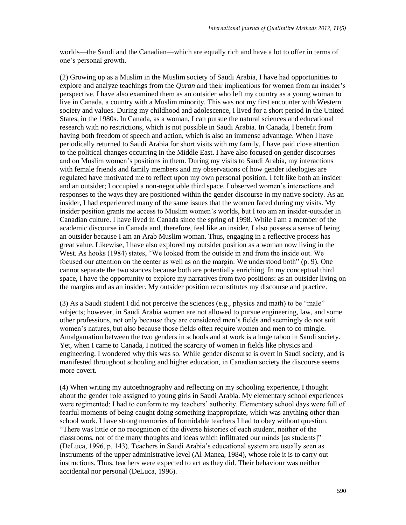worlds—the Saudi and the Canadian—which are equally rich and have a lot to offer in terms of one's personal growth.

(2) Growing up as a Muslim in the Muslim society of Saudi Arabia, I have had opportunities to explore and analyze teachings from the *Quran* and their implications for women from an insider's perspective. I have also examined them as an outsider who left my country as a young woman to live in Canada, a country with a Muslim minority. This was not my first encounter with Western society and values. During my childhood and adolescence, I lived for a short period in the United States, in the 1980s. In Canada, as a woman, I can pursue the natural sciences and educational research with no restrictions, which is not possible in Saudi Arabia. In Canada, I benefit from having both freedom of speech and action, which is also an immense advantage. When I have periodically returned to Saudi Arabia for short visits with my family, I have paid close attention to the political changes occurring in the Middle East. I have also focused on gender discourses and on Muslim women's positions in them. During my visits to Saudi Arabia, my interactions with female friends and family members and my observations of how gender ideologies are regulated have motivated me to reflect upon my own personal position. I felt like both an insider and an outsider; I occupied a non-negotiable third space. I observed women's interactions and responses to the ways they are positioned within the gender discourse in my native society. As an insider, I had experienced many of the same issues that the women faced during my visits. My insider position grants me access to Muslim women's worlds, but I too am an insider-outsider in Canadian culture. I have lived in Canada since the spring of 1998. While I am a member of the academic discourse in Canada and, therefore, feel like an insider, I also possess a sense of being an outsider because I am an Arab Muslim woman. Thus, engaging in a reflective process has great value. Likewise, I have also explored my outsider position as a woman now living in the West. As hooks (1984) states, "We looked from the outside in and from the inside out. We focused our attention on the center as well as on the margin. We understood both" (p. 9). One cannot separate the two stances because both are potentially enriching. In my conceptual third space, I have the opportunity to explore my narratives from two positions: as an outsider living on the margins and as an insider. My outsider position reconstitutes my discourse and practice.

(3) As a Saudi student I did not perceive the sciences (e.g., physics and math) to be "male" subjects; however, in Saudi Arabia women are not allowed to pursue engineering, law, and some other professions, not only because they are considered men's fields and seemingly do not suit women's natures, but also because those fields often require women and men to co-mingle. Amalgamation between the two genders in schools and at work is a huge taboo in Saudi society. Yet, when I came to Canada, I noticed the scarcity of women in fields like physics and engineering. I wondered why this was so. While gender discourse is overt in Saudi society, and is manifested throughout schooling and higher education, in Canadian society the discourse seems more covert.

(4) When writing my autoethnography and reflecting on my schooling experience, I thought about the gender role assigned to young girls in Saudi Arabia. My elementary school experiences were regimented: I had to conform to my teachers' authority. Elementary school days were full of fearful moments of being caught doing something inappropriate, which was anything other than school work. I have strong memories of formidable teachers I had to obey without question. "There was little or no recognition of the diverse histories of each student, neither of the classrooms, nor of the many thoughts and ideas which infiltrated our minds [as students]" (DeLuca, 1996, p. 143). Teachers in Saudi Arabia's educational system are usually seen as instruments of the upper administrative level (Al-Manea, 1984), whose role it is to carry out instructions. Thus, teachers were expected to act as they did. Their behaviour was neither accidental nor personal (DeLuca, 1996).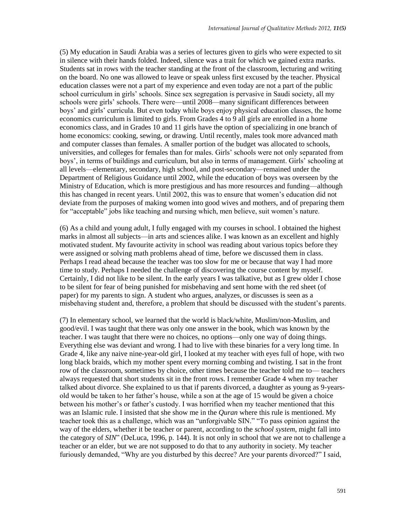(5) My education in Saudi Arabia was a series of lectures given to girls who were expected to sit in silence with their hands folded. Indeed, silence was a trait for which we gained extra marks. Students sat in rows with the teacher standing at the front of the classroom, lecturing and writing on the board. No one was allowed to leave or speak unless first excused by the teacher. Physical education classes were not a part of my experience and even today are not a part of the public school curriculum in girls' schools. Since sex segregation is pervasive in Saudi society, all my schools were girls' schools. There were—until 2008—many significant differences between boys' and girls' curricula. But even today while boys enjoy physical education classes, the home economics curriculum is limited to girls. From Grades 4 to 9 all girls are enrolled in a home economics class, and in Grades 10 and 11 girls have the option of specializing in one branch of home economics: cooking, sewing, or drawing. Until recently, males took more advanced math and computer classes than females. A smaller portion of the budget was allocated to schools, universities, and colleges for females than for males. Girls' schools were not only separated from boys', in terms of buildings and curriculum, but also in terms of management. Girls' schooling at all levels—elementary, secondary, high school, and post-secondary—remained under the Department of Religious Guidance until 2002, while the education of boys was overseen by the Ministry of Education, which is more prestigious and has more resources and funding—although this has changed in recent years. Until 2002, this was to ensure that women's education did not deviate from the purposes of making women into good wives and mothers, and of preparing them for "acceptable" jobs like teaching and nursing which, men believe, suit women's nature.

(6) As a child and young adult, I fully engaged with my courses in school. I obtained the highest marks in almost all subjects—in arts and sciences alike. I was known as an excellent and highly motivated student. My favourite activity in school was reading about various topics before they were assigned or solving math problems ahead of time, before we discussed them in class. Perhaps I read ahead because the teacher was too slow for me or because that way I had more time to study. Perhaps I needed the challenge of discovering the course content by myself. Certainly, I did not like to be silent. In the early years I was talkative, but as I grew older I chose to be silent for fear of being punished for misbehaving and sent home with the red sheet (of paper) for my parents to sign. A student who argues, analyzes, or discusses is seen as a misbehaving student and, therefore, a problem that should be discussed with the student's parents.

(7) In elementary school, we learned that the world is black/white, Muslim/non-Muslim, and good/evil. I was taught that there was only one answer in the book, which was known by the teacher. I was taught that there were no choices, no options—only one way of doing things. Everything else was deviant and wrong. I had to live with these binaries for a very long time. In Grade 4, like any naive nine-year-old girl, I looked at my teacher with eyes full of hope, with two long black braids, which my mother spent every morning combing and twisting. I sat in the front row of the classroom, sometimes by choice, other times because the teacher told me to— teachers always requested that short students sit in the front rows. I remember Grade 4 when my teacher talked about divorce. She explained to us that if parents divorced, a daughter as young as 9-yearsold would be taken to her father's house, while a son at the age of 15 would be given a choice between his mother's or father's custody. I was horrified when my teacher mentioned that this was an Islamic rule. I insisted that she show me in the *Quran* where this rule is mentioned. My teacher took this as a challenge, which was an "unforgivable SIN." "To pass opinion against the way of the elders, whether it be teacher or parent, according to the *school system*, might fall into the category of *SIN*" (DeLuca, 1996, p. 144). It is not only in school that we are not to challenge a teacher or an elder, but we are not supposed to do that to any authority in society. My teacher furiously demanded, "Why are you disturbed by this decree? Are your parents divorced?" I said,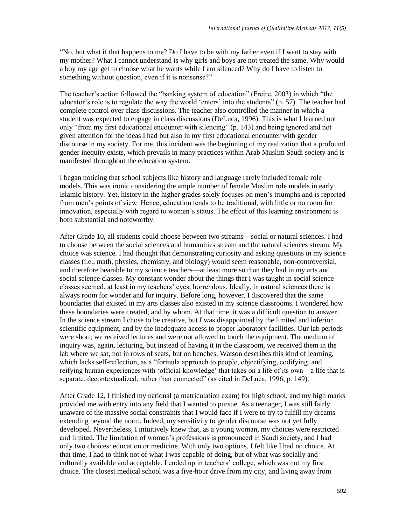"No, but what if that happens to me? Do I have to be with my father even if I want to stay with my mother? What I cannot understand is why girls and boys are not treated the same. Why would a boy my age get to choose what he wants while I am silenced? Why do I have to listen to something without question, even if it is nonsense?"

The teacher's action followed the "banking system of education" (Freire, 2003) in which "the educator's role is to regulate the way the world 'enters' into the students" (p. 57). The teacher had complete control over class discussions. The teacher also controlled the manner in which a student was expected to engage in class discussions (DeLuca, 1996). This is what I learned not only "from my first educational encounter with silencing" (p. 143) and being ignored and not given attention for the ideas I had but also in my first educational encounter with gender discourse in my society. For me, this incident was the beginning of my realization that a profound gender inequity exists, which prevails in many practices within Arab Muslim Saudi society and is manifested throughout the education system.

I began noticing that school subjects like history and language rarely included female role models. This was ironic considering the ample number of female Muslim role models in early Islamic history. Yet, history in the higher grades solely focuses on men's triumphs and is reported from men's points of view. Hence, education tends to be traditional, with little or no room for innovation, especially with regard to women's status. The effect of this learning environment is both substantial and noteworthy.

After Grade 10, all students could choose between two streams—social or natural sciences. I had to choose between the social sciences and humanities stream and the natural sciences stream. My choice was science. I had thought that demonstrating curiosity and asking questions in my science classes (i.e., math, physics, chemistry, and biology) would seem reasonable, non-controversial, and therefore bearable to my science teachers—at least more so than they had in my arts and social science classes. My constant wonder about the things that I was taught in social science classes seemed, at least in my teachers' eyes, horrendous. Ideally, in natural sciences there is always room for wonder and for inquiry. Before long, however, I discovered that the same boundaries that existed in my arts classes also existed in my science classrooms. I wondered how these boundaries were created, and by whom. At that time, it was a difficult question to answer. In the science stream I chose to be creative, but I was disappointed by the limited and inferior scientific equipment, and by the inadequate access to proper laboratory facilities. Our lab periods were short; we received lectures and were not allowed to touch the equipment. The medium of inquiry was, again, lecturing, but instead of having it in the classroom, we received them in the lab where we sat, not in rows of seats, but on benches. Watson describes this kind of learning, which lacks self-reflection, as a "formula approach to people, objectifying, codifying, and reifying human experiences with 'official knowledge' that takes on a life of its own—a life that is separate, decontextualized, rather than connected" (as cited in DeLuca, 1996, p. 149).

After Grade 12, I finished my national (a matriculation exam) for high school, and my high marks provided me with entry into any field that I wanted to pursue. As a teenager, I was still fairly unaware of the massive social constraints that I would face if I were to try to fulfill my dreams extending beyond the norm. Indeed, my sensitivity to gender discourse was not yet fully developed. Nevertheless, I intuitively knew that, as a young woman, my choices were restricted and limited. The limitation of women's professions is pronounced in Saudi society, and I had only two choices: education or medicine. With only two options, I felt like I had no choice. At that time, I had to think not of what I was capable of doing, but of what was socially and culturally available and acceptable. I ended up in teachers' college, which was not my first choice. The closest medical school was a five-hour drive from my city, and living away from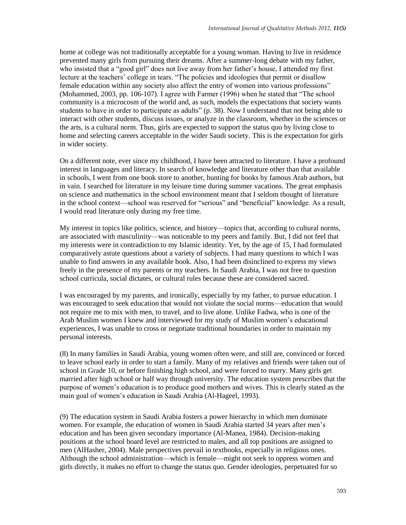home at college was not traditionally acceptable for a young woman. Having to live in residence prevented many girls from pursuing their dreams. After a summer-long debate with my father, who insisted that a "good girl" does not live away from her father's house, I attended my first lecture at the teachers' college in tears. "The policies and ideologies that permit or disallow female education within any society also affect the entry of women into various professions" (Mohammed, 2003, pp. 106-107). I agree with Farmer (1996) when he stated that "The school community is a microcosm of the world and, as such, models the expectations that society wants students to have in order to participate as adults" (p. 38). Now I understand that not being able to interact with other students, discuss issues, or analyze in the classroom, whether in the sciences or the arts, is a cultural norm. Thus, girls are expected to support the status quo by living close to home and selecting careers acceptable in the wider Saudi society. This is the expectation for girls in wider society.

On a different note, ever since my childhood, I have been attracted to literature. I have a profound interest in languages and literacy. In search of knowledge and literature other than that available in schools, I went from one book store to another, hunting for books by famous Arab authors, but in vain. I searched for literature in my leisure time during summer vacations. The great emphasis on science and mathematics in the school environment meant that I seldom thought of literature in the school context—school was reserved for "serious" and "beneficial" knowledge. As a result, I would read literature only during my free time.

My interest in topics like politics, science, and history—topics that, according to cultural norms, are associated with masculinity—was noticeable to my peers and family. But, I did not feel that my interests were in contradiction to my Islamic identity. Yet, by the age of 15, I had formulated comparatively astute questions about a variety of subjects. I had many questions to which I was unable to find answers in any available book. Also, I had been disinclined to express my views freely in the presence of my parents or my teachers. In Saudi Arabia, I was not free to question school curricula, social dictates, or cultural rules because these are considered sacred.

I was encouraged by my parents, and ironically, especially by my father, to pursue education. I was encouraged to seek education that would not violate the social norms—education that would not require me to mix with men, to travel, and to live alone. Unlike Fadwa, who is one of the Arab Muslim women I knew and interviewed for my study of Muslim women's educational experiences, I was unable to cross or negotiate traditional boundaries in order to maintain my personal interests.

(8) In many families in Saudi Arabia, young women often were, and still are, convinced or forced to leave school early in order to start a family. Many of my relatives and friends were taken out of school in Grade 10, or before finishing high school, and were forced to marry. Many girls get married after high school or half way through university. The education system prescribes that the purpose of women's education is to produce good mothers and wives. This is clearly stated as the main goal of women's education in Saudi Arabia (Al-Hageel, 1993).

(9) The education system in Saudi Arabia fosters a power hierarchy in which men dominate women. For example, the education of women in Saudi Arabia started 34 years after men's education and has been given secondary importance (Al-Manea, 1984). Decision-making positions at the school board level are restricted to males, and all top positions are assigned to men (AlHasher, 2004). Male perspectives prevail in textbooks, especially in religious ones. Although the school administration—which is female—might not seek to oppress women and girls directly, it makes no effort to change the status quo. Gender ideologies, perpetuated for so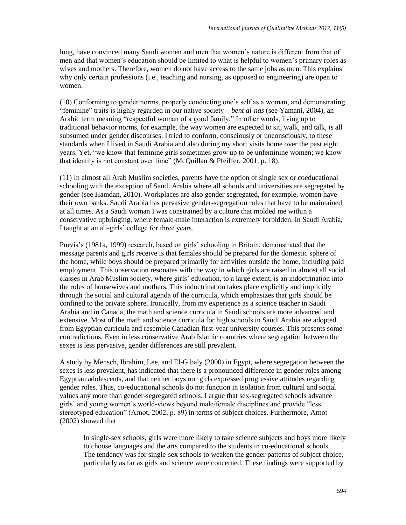long, have convinced many Saudi women and men that women's nature is different from that of men and that women's education should be limited to what is helpful to women's primary roles as wives and mothers. Therefore, women do not have access to the same jobs as men. This explains why only certain professions (i.e., teaching and nursing, as opposed to engineering) are open to women.

(10) Conforming to gender norms, properly conducting one's self as a woman, and demonstrating "feminine" traits is highly regarded in our native society—*bent al-nas* (see Yamani, 2004), an Arabic term meaning "respectful woman of a good family." In other words, living up to traditional behavior norms, for example, the way women are expected to sit, walk, and talk, is all subsumed under gender discourses. I tried to conform, consciously or unconsciously, to these standards when I lived in Saudi Arabia and also during my short visits home over the past eight years. Yet, "we know that feminine girls sometimes grow up to be unfeminine women; we know that identity is not constant over time" (McQuillan & Pfeiffer, 2001, p. 18).

(11) In almost all Arab Muslim societies, parents have the option of single sex or coeducational schooling with the exception of Saudi Arabia where all schools and universities are segregated by gender (see Hamdan, 2010). Workplaces are also gender segregated, for example, women have their own banks. Saudi Arabia has pervasive gender-segregation rules that have to be maintained at all times. As a Saudi woman I was constrained by a culture that molded me within a conservative upbringing, where female-male interaction is extremely forbidden. In Saudi Arabia, I taught at an all-girls' college for three years.

Purvis's (1981a, 1999) research, based on girls' schooling in Britain, demonstrated that the message parents and girls receive is that females should be prepared for the domestic sphere of the home, while boys should be prepared primarily for activities outside the home, including paid employment. This observation resonates with the way in which girls are raised in almost all social classes in Arab Muslim society, where girls' education, to a large extent, is an indoctrination into the roles of housewives and mothers. This indoctrination takes place explicitly and implicitly through the social and cultural agenda of the curricula, which emphasizes that girls should be confined to the private sphere. Ironically, from my experience as a science teacher in Saudi Arabia and in Canada, the math and science curricula in Saudi schools are more advanced and extensive. Most of the math and science curricula for high schools in Saudi Arabia are adopted from Egyptian curricula and resemble Canadian first-year university courses. This presents some contradictions. Even in less conservative Arab Islamic countries where segregation between the sexes is less pervasive, gender differences are still prevalent.

A study by Mensch, Ibrahim, Lee, and El-Gibaly (2000) in Egypt, where segregation between the sexes is less prevalent, has indicated that there is a pronounced difference in gender roles among Egyptian adolescents, and that neither boys nor girls expressed progressive attitudes regarding gender roles. Thus, co-educational schools do not function in isolation from cultural and social values any more than gender-segregated schools. I argue that sex-segregated schools advance girls' and young women's world-views beyond male/female disciplines and provide "less stereotyped education" (Arnot, 2002, p. 89) in terms of subject choices. Furthermore, Arnot (2002) showed that

In single-sex schools, girls were more likely to take science subjects and boys more likely to choose languages and the arts compared to the students in co-educational schools . . . The tendency was for single-sex schools to weaken the gender patterns of subject choice, particularly as far as girls and science were concerned. These findings were supported by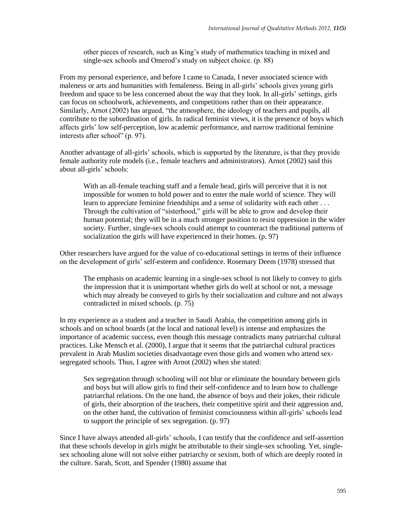other pieces of research, such as King's study of mathematics teaching in mixed and single-sex schools and Omerod's study on subject choice. (p. 88)

From my personal experience, and before I came to Canada, I never associated science with maleness or arts and humanities with femaleness. Being in all-girls' schools gives young girls freedom and space to be less concerned about the way that they look. In all-girls' settings, girls can focus on schoolwork, achievements, and competitions rather than on their appearance. Similarly, Arnot (2002) has argued, "the atmosphere, the ideology of teachers and pupils, all contribute to the subordination of girls. In radical feminist views, it is the presence of boys which affects girls' low self-perception, low academic performance, and narrow traditional feminine interests after school" (p. 97).

Another advantage of all-girls' schools, which is supported by the literature, is that they provide female authority role models (i.e., female teachers and administrators). Arnot (2002) said this about all-girls' schools:

With an all-female teaching staff and a female head, girls will perceive that it is not impossible for women to hold power and to enter the male world of science. They will learn to appreciate feminine friendships and a sense of solidarity with each other ... Through the cultivation of "sisterhood," girls will be able to grow and develop their human potential; they will be in a much stronger position to resist oppression in the wider society. Further, single-sex schools could attempt to counteract the traditional patterns of socialization the girls will have experienced in their homes. (p. 97)

Other researchers have argued for the value of co-educational settings in terms of their influence on the development of girls' self-esteem and confidence. Rosemary Deem (1978) stressed that

The emphasis on academic learning in a single-sex school is not likely to convey to girls the impression that it is unimportant whether girls do well at school or not, a message which may already be conveyed to girls by their socialization and culture and not always contradicted in mixed schools. (p. 75)

In my experience as a student and a teacher in Saudi Arabia, the competition among girls in schools and on school boards (at the local and national level) is intense and emphasizes the importance of academic success, even though this message contradicts many patriarchal cultural practices. Like Mensch et al. (2000), I argue that it seems that the patriarchal cultural practices prevalent in Arab Muslim societies disadvantage even those girls and women who attend sexsegregated schools. Thus, I agree with Arnot (2002) when she stated:

Sex segregation through schooling will not blur or eliminate the boundary between girls and boys but will allow girls to find their self-confidence and to learn how to challenge patriarchal relations. On the one hand, the absence of boys and their jokes, their ridicule of girls, their absorption of the teachers, their competitive spirit and their aggression and, on the other hand, the cultivation of feminist consciousness within all-girls' schools lead to support the principle of sex segregation. (p. 97)

Since I have always attended all-girls' schools, I can testify that the confidence and self-assertion that these schools develop in girls might be attributable to their single-sex schooling. Yet, singlesex schooling alone will not solve either patriarchy or sexism, both of which are deeply rooted in the culture. Sarah, Scott, and Spender (1980) assume that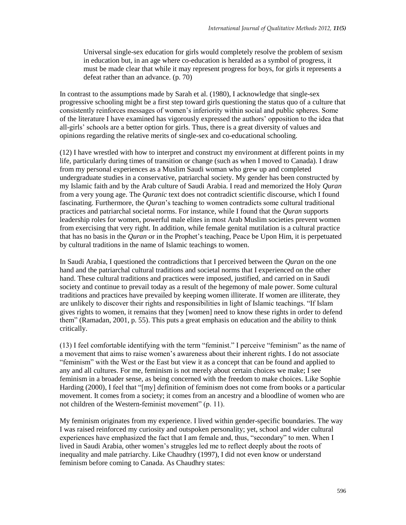Universal single-sex education for girls would completely resolve the problem of sexism in education but, in an age where co-education is heralded as a symbol of progress, it must be made clear that while it may represent progress for boys, for girls it represents a defeat rather than an advance. (p. 70)

In contrast to the assumptions made by Sarah et al. (1980), I acknowledge that single-sex progressive schooling might be a first step toward girls questioning the status quo of a culture that consistently reinforces messages of women's inferiority within social and public spheres. Some of the literature I have examined has vigorously expressed the authors' opposition to the idea that all-girls' schools are a better option for girls. Thus, there is a great diversity of values and opinions regarding the relative merits of single-sex and co-educational schooling.

(12) I have wrestled with how to interpret and construct my environment at different points in my life, particularly during times of transition or change (such as when I moved to Canada). I draw from my personal experiences as a Muslim Saudi woman who grew up and completed undergraduate studies in a conservative, patriarchal society. My gender has been constructed by my Islamic faith and by the Arab culture of Saudi Arabia. I read and memorized the Holy *Quran* from a very young age. The *Quranic* text does not contradict scientific discourse, which I found fascinating. Furthermore, the *Quran*'s teaching to women contradicts some cultural traditional practices and patriarchal societal norms. For instance, while I found that the *Quran* supports leadership roles for women, powerful male elites in most Arab Muslim societies prevent women from exercising that very right. In addition, while female genital mutilation is a cultural practice that has no basis in the *Quran* or in the Prophet's teaching, Peace be Upon Him, it is perpetuated by cultural traditions in the name of Islamic teachings to women.

In Saudi Arabia, I questioned the contradictions that I perceived between the *Quran* on the one hand and the patriarchal cultural traditions and societal norms that I experienced on the other hand. These cultural traditions and practices were imposed, justified, and carried on in Saudi society and continue to prevail today as a result of the hegemony of male power. Some cultural traditions and practices have prevailed by keeping women illiterate. If women are illiterate, they are unlikely to discover their rights and responsibilities in light of Islamic teachings. "If Islam gives rights to women, it remains that they [women] need to know these rights in order to defend them" (Ramadan, 2001, p. 55). This puts a great emphasis on education and the ability to think critically.

(13) I feel comfortable identifying with the term "feminist." I perceive "feminism" as the name of a movement that aims to raise women's awareness about their inherent rights. I do not associate "feminism" with the West or the East but view it as a concept that can be found and applied to any and all cultures. For me, feminism is not merely about certain choices we make; I see feminism in a broader sense, as being concerned with the freedom to make choices. Like Sophie Harding (2000), I feel that "[my] definition of feminism does not come from books or a particular movement. It comes from a society; it comes from an ancestry and a bloodline of women who are not children of the Western-feminist movement" (p. 11).

My feminism originates from my experience. I lived within gender-specific boundaries. The way I was raised reinforced my curiosity and outspoken personality; yet, school and wider cultural experiences have emphasized the fact that I am female and, thus, "secondary" to men. When I lived in Saudi Arabia, other women's struggles led me to reflect deeply about the roots of inequality and male patriarchy. Like Chaudhry (1997), I did not even know or understand feminism before coming to Canada. As Chaudhry states: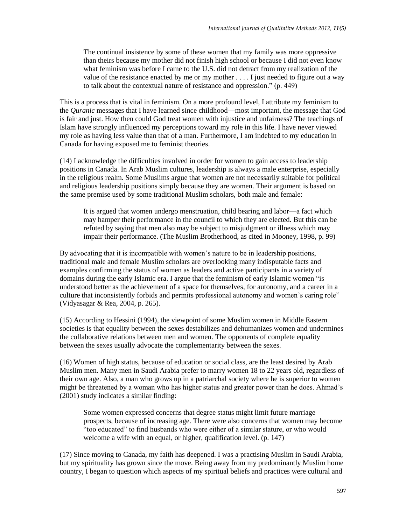The continual insistence by some of these women that my family was more oppressive than theirs because my mother did not finish high school or because I did not even know what feminism was before I came to the U.S. did not detract from my realization of the value of the resistance enacted by me or my mother . . . . I just needed to figure out a way to talk about the contextual nature of resistance and oppression." (p. 449)

This is a process that is vital in feminism. On a more profound level, I attribute my feminism to the *Quranic* messages that I have learned since childhood—most important, the message that God is fair and just. How then could God treat women with injustice and unfairness? The teachings of Islam have strongly influenced my perceptions toward my role in this life. I have never viewed my role as having less value than that of a man. Furthermore, I am indebted to my education in Canada for having exposed me to feminist theories.

(14) I acknowledge the difficulties involved in order for women to gain access to leadership positions in Canada. In Arab Muslim cultures, leadership is always a male enterprise, especially in the religious realm. Some Muslims argue that women are not necessarily suitable for political and religious leadership positions simply because they are women. Their argument is based on the same premise used by some traditional Muslim scholars, both male and female:

It is argued that women undergo menstruation, child bearing and labor—a fact which may hamper their performance in the council to which they are elected. But this can be refuted by saying that men also may be subject to misjudgment or illness which may impair their performance. (The Muslim Brotherhood, as cited in Mooney, 1998, p. 99)

By advocating that it is incompatible with women's nature to be in leadership positions, traditional male and female Muslim scholars are overlooking many indisputable facts and examples confirming the status of women as leaders and active participants in a variety of domains during the early Islamic era. I argue that the feminism of early Islamic women "is understood better as the achievement of a space for themselves, for autonomy, and a career in a culture that inconsistently forbids and permits professional autonomy and women's caring role" (Vidyasagar & Rea, 2004, p. 265).

(15) According to Hessini (1994), the viewpoint of some Muslim women in Middle Eastern societies is that equality between the sexes destabilizes and dehumanizes women and undermines the collaborative relations between men and women. The opponents of complete equality between the sexes usually advocate the complementarity between the sexes.

(16) Women of high status, because of education or social class, are the least desired by Arab Muslim men. Many men in Saudi Arabia prefer to marry women 18 to 22 years old, regardless of their own age. Also, a man who grows up in a patriarchal society where he is superior to women might be threatened by a woman who has higher status and greater power than he does. Ahmad's (2001) study indicates a similar finding:

Some women expressed concerns that degree status might limit future marriage prospects, because of increasing age. There were also concerns that women may become "too educated" to find husbands who were either of a similar stature, or who would welcome a wife with an equal, or higher, qualification level. (p. 147)

(17) Since moving to Canada, my faith has deepened. I was a practising Muslim in Saudi Arabia, but my spirituality has grown since the move. Being away from my predominantly Muslim home country, I began to question which aspects of my spiritual beliefs and practices were cultural and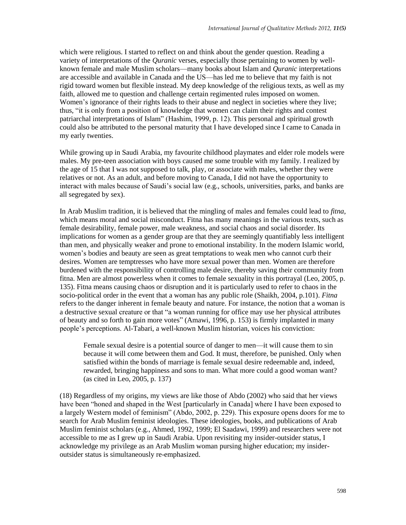which were religious. I started to reflect on and think about the gender question. Reading a variety of interpretations of the *Quranic* verses, especially those pertaining to women by wellknown female and male Muslim scholars—many books about Islam and *Quranic* interpretations are accessible and available in Canada and the US—has led me to believe that my faith is not rigid toward women but flexible instead. My deep knowledge of the religious texts, as well as my faith, allowed me to question and challenge certain regimented rules imposed on women. Women's ignorance of their rights leads to their abuse and neglect in societies where they live; thus, "it is only from a position of knowledge that women can claim their rights and contest patriarchal interpretations of Islam" (Hashim, 1999, p. 12). This personal and spiritual growth could also be attributed to the personal maturity that I have developed since I came to Canada in my early twenties.

While growing up in Saudi Arabia, my favourite childhood playmates and elder role models were males. My pre-teen association with boys caused me some trouble with my family. I realized by the age of 15 that I was not supposed to talk, play, or associate with males, whether they were relatives or not. As an adult, and before moving to Canada, I did not have the opportunity to interact with males because of Saudi's social law (e.g., schools, universities, parks, and banks are all segregated by sex).

In Arab Muslim tradition, it is believed that the mingling of males and females could lead to *fitna*, which means moral and social misconduct. Fitna has many meanings in the various texts, such as female desirability, female power, male weakness, and social chaos and social disorder. Its implications for women as a gender group are that they are seemingly quantifiably less intelligent than men, and physically weaker and prone to emotional instability. In the modern Islamic world, women's bodies and beauty are seen as great temptations to weak men who cannot curb their desires. Women are temptresses who have more sexual power than men. Women are therefore burdened with the responsibility of controlling male desire, thereby saving their community from fitna. Men are almost powerless when it comes to female sexuality in this portrayal (Leo, 2005, p. 135). Fitna means causing chaos or disruption and it is particularly used to refer to chaos in the socio-political order in the event that a woman has any public role (Shaikh, 2004, p.101). *Fitna* refers to the danger inherent in female beauty and nature. For instance, the notion that a woman is a destructive sexual creature or that "a woman running for office may use her physical attributes of beauty and so forth to gain more votes" (Amawi, 1996, p. 153) is firmly implanted in many people's perceptions. Al-Tabari, a well-known Muslim historian, voices his conviction:

Female sexual desire is a potential source of danger to men—it will cause them to sin because it will come between them and God. It must, therefore, be punished. Only when satisfied within the bonds of marriage is female sexual desire redeemable and, indeed, rewarded, bringing happiness and sons to man. What more could a good woman want? (as cited in Leo, 2005, p. 137)

(18) Regardless of my origins, my views are like those of Abdo (2002) who said that her views have been "honed and shaped in the West [particularly in Canada] where I have been exposed to a largely Western model of feminism" (Abdo, 2002, p. 229). This exposure opens doors for me to search for Arab Muslim feminist ideologies. These ideologies, books, and publications of Arab Muslim feminist scholars (e.g., Ahmed, 1992, 1999; El Saadawi, 1999) and researchers were not accessible to me as I grew up in Saudi Arabia. Upon revisiting my insider-outsider status, I acknowledge my privilege as an Arab Muslim woman pursing higher education; my insideroutsider status is simultaneously re-emphasized.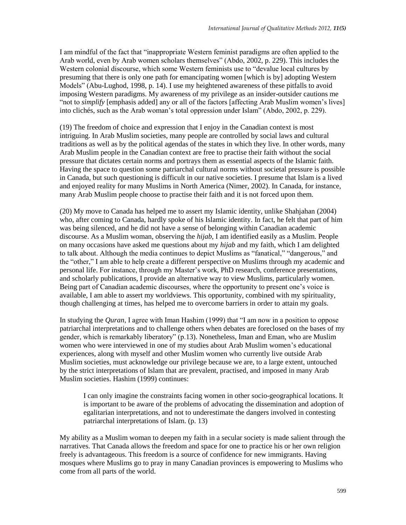I am mindful of the fact that "inappropriate Western feminist paradigms are often applied to the Arab world, even by Arab women scholars themselves" (Abdo, 2002, p. 229). This includes the Western colonial discourse, which some Western feminists use to "devalue local cultures by presuming that there is only one path for emancipating women [which is by] adopting Western Models" (Abu-Lughod, 1998, p. 14). I use my heightened awareness of these pitfalls to avoid imposing Western paradigms. My awareness of my privilege as an insider-outsider cautions me "not to *simplify* [emphasis added] any or all of the factors [affecting Arab Muslim women's lives] into clichés, such as the Arab woman's total oppression under Islam" (Abdo, 2002, p. 229).

(19) The freedom of choice and expression that I enjoy in the Canadian context is most intriguing. In Arab Muslim societies, many people are controlled by social laws and cultural traditions as well as by the political agendas of the states in which they live. In other words, many Arab Muslim people in the Canadian context are free to practise their faith without the social pressure that dictates certain norms and portrays them as essential aspects of the Islamic faith. Having the space to question some patriarchal cultural norms without societal pressure is possible in Canada, but such questioning is difficult in our native societies. I presume that Islam is a lived and enjoyed reality for many Muslims in North America (Nimer, 2002). In Canada, for instance, many Arab Muslim people choose to practise their faith and it is not forced upon them.

(20) My move to Canada has helped me to assert my Islamic identity, unlike Shahjahan (2004) who, after coming to Canada, hardly spoke of his Islamic identity. In fact, he felt that part of him was being silenced, and he did not have a sense of belonging within Canadian academic discourse. As a Muslim woman, observing the *hijab*, I am identified easily as a Muslim. People on many occasions have asked me questions about my *hijab* and my faith, which I am delighted to talk about. Although the media continues to depict Muslims as "fanatical," "dangerous," and the "other," I am able to help create a different perspective on Muslims through my academic and personal life. For instance, through my Master's work, PhD research, conference presentations, and scholarly publications, I provide an alternative way to view Muslims, particularly women. Being part of Canadian academic discourses, where the opportunity to present one's voice is available, I am able to assert my worldviews. This opportunity, combined with my spirituality, though challenging at times, has helped me to overcome barriers in order to attain my goals.

In studying the *Quran*, I agree with Iman Hashim (1999) that "I am now in a position to oppose patriarchal interpretations and to challenge others when debates are foreclosed on the bases of my gender, which is remarkably liberatory" (p.13). Nonetheless, Iman and Eman, who are Muslim women who were interviewed in one of my studies about Arab Muslim women's educational experiences, along with myself and other Muslim women who currently live outside Arab Muslim societies, must acknowledge our privilege because we are, to a large extent, untouched by the strict interpretations of Islam that are prevalent, practised, and imposed in many Arab Muslim societies. Hashim (1999) continues:

I can only imagine the constraints facing women in other socio-geographical locations. It is important to be aware of the problems of advocating the dissemination and adoption of egalitarian interpretations, and not to underestimate the dangers involved in contesting patriarchal interpretations of Islam. (p. 13)

My ability as a Muslim woman to deepen my faith in a secular society is made salient through the narratives. That Canada allows the freedom and space for one to practice his or her own religion freely is advantageous. This freedom is a source of confidence for new immigrants. Having mosques where Muslims go to pray in many Canadian provinces is empowering to Muslims who come from all parts of the world.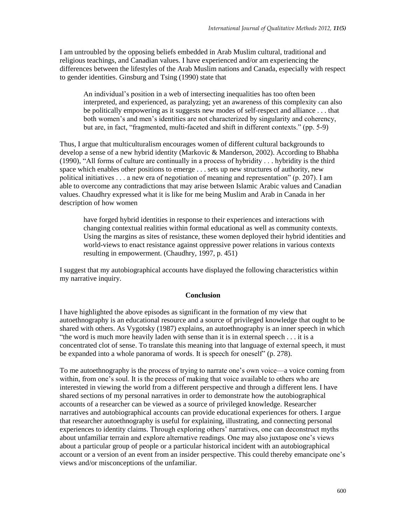I am untroubled by the opposing beliefs embedded in Arab Muslim cultural, traditional and religious teachings, and Canadian values. I have experienced and/or am experiencing the differences between the lifestyles of the Arab Muslim nations and Canada, especially with respect to gender identities. Ginsburg and Tsing (1990) state that

An individual's position in a web of intersecting inequalities has too often been interpreted, and experienced, as paralyzing; yet an awareness of this complexity can also be politically empowering as it suggests new modes of self-respect and alliance . . . that both women's and men's identities are not characterized by singularity and coherency, but are, in fact, "fragmented, multi-faceted and shift in different contexts." (pp. 5-9)

Thus, I argue that multiculturalism encourages women of different cultural backgrounds to develop a sense of a new hybrid identity (Markovic & Manderson, 2002). According to Bhabha (1990), "All forms of culture are continually in a process of hybridity . . . hybridity is the third space which enables other positions to emerge . . . sets up new structures of authority, new political initiatives . . . a new era of negotiation of meaning and representation" (p. 207). I am able to overcome any contradictions that may arise between Islamic Arabic values and Canadian values. Chaudhry expressed what it is like for me being Muslim and Arab in Canada in her description of how women

have forged hybrid identities in response to their experiences and interactions with changing contextual realities within formal educational as well as community contexts. Using the margins as sites of resistance, these women deployed their hybrid identities and world-views to enact resistance against oppressive power relations in various contexts resulting in empowerment. (Chaudhry, 1997, p. 451)

I suggest that my autobiographical accounts have displayed the following characteristics within my narrative inquiry.

#### **Conclusion**

I have highlighted the above episodes as significant in the formation of my view that autoethnography is an educational resource and a source of privileged knowledge that ought to be shared with others. As Vygotsky (1987) explains, an autoethnography is an inner speech in which "the word is much more heavily laden with sense than it is in external speech . . . it is a concentrated clot of sense. To translate this meaning into that language of external speech, it must be expanded into a whole panorama of words. It is speech for oneself" (p. 278).

To me autoethnography is the process of trying to narrate one's own voice—a voice coming from within, from one's soul. It is the process of making that voice available to others who are interested in viewing the world from a different perspective and through a different lens. I have shared sections of my personal narratives in order to demonstrate how the autobiographical accounts of a researcher can be viewed as a source of privileged knowledge. Researcher narratives and autobiographical accounts can provide educational experiences for others. I argue that researcher autoethnography is useful for explaining, illustrating, and connecting personal experiences to identity claims. Through exploring others' narratives, one can deconstruct myths about unfamiliar terrain and explore alternative readings. One may also juxtapose one's views about a particular group of people or a particular historical incident with an autobiographical account or a version of an event from an insider perspective. This could thereby emancipate one's views and/or misconceptions of the unfamiliar.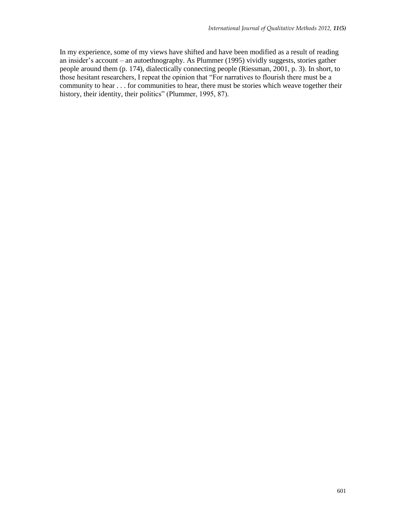In my experience, some of my views have shifted and have been modified as a result of reading an insider's account – an autoethnography. As Plummer (1995) vividly suggests, stories gather people around them (p. 174), dialectically connecting people (Riessman, 2001, p. 3). In short, to those hesitant researchers, I repeat the opinion that "For narratives to flourish there must be a community to hear . . . for communities to hear, there must be stories which weave together their history, their identity, their politics" (Plummer, 1995, 87).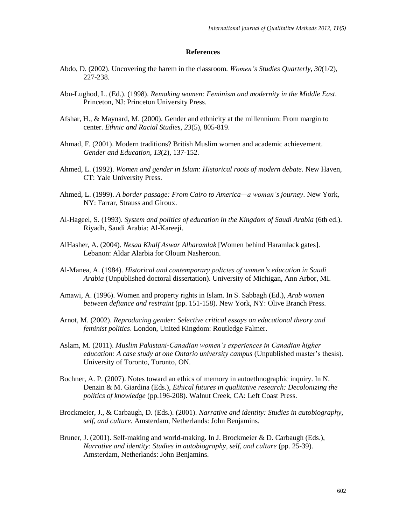#### **References**

- Abdo, D. (2002). Uncovering the harem in the classroom. *Women's Studies Quarterly, 30*(1/2), 227-238.
- Abu-Lughod, L. (Ed.). (1998). *Remaking women: Feminism and modernity in the Middle East*. Princeton, NJ: Princeton University Press.
- Afshar, H., & Maynard, M. (2000). Gender and ethnicity at the millennium: From margin to center. *Ethnic and Racial Studies, 23*(5), 805-819.
- Ahmad, F. (2001). Modern traditions? British Muslim women and academic achievement. *Gender and Education, 13*(2), 137-152.
- Ahmed, L. (1992). *Women and gender in Islam: Historical roots of modern debate*. New Haven, CT: Yale University Press.
- Ahmed, L. (1999). *A border passage: From Cairo to America—a woman's journey*. New York, NY: Farrar, Strauss and Giroux.
- Al-Hageel, S. (1993). *System and politics of education in the Kingdom of Saudi Arabia* (6th ed.). Riyadh, Saudi Arabia: Al-Kareeji.
- AlHasher, A. (2004). *Nesaa Khalf Aswar Alharamlak* [Women behind Haramlack gates]. Lebanon: Aldar Alarbia for Oloum Nasheroon.
- Al-Manea, A. (1984). *Historical and contemporary policies of women's education in Saudi Arabia* (Unpublished doctoral dissertation). University of Michigan, Ann Arbor, MI.
- Amawi, A. (1996). Women and property rights in Islam. In S. Sabbagh (Ed.), *Arab women between defiance and restraint* (pp. 151-158). New York, NY: Olive Branch Press.
- Arnot, M. (2002). *Reproducing gender: Selective critical essays on educational theory and feminist politics*. London, United Kingdom: Routledge Falmer.
- Aslam, M. (2011). *Muslim Pakistani-Canadian women's experiences in Canadian higher education: A case study at one Ontario university campus* (Unpublished master's thesis). University of Toronto, Toronto, ON.
- Bochner, A. P. (2007). Notes toward an ethics of memory in autoethnographic inquiry. In N. Denzin & M. Giardina (Eds.), *Ethical futures in qualitative research: Decolonizing the politics of knowledge* (pp.196-208). Walnut Creek, CA: Left Coast Press.
- Brockmeier, J., & Carbaugh, D. (Eds.). (2001). *Narrative and identity: Studies in autobiography, self, and culture*. Amsterdam, Netherlands: John Benjamins.
- Bruner, J. (2001). Self-making and world-making. In J. Brockmeier & D. Carbaugh (Eds.), *Narrative and identity: Studies in autobiography, self, and culture* (pp. 25-39). Amsterdam, Netherlands: John Benjamins.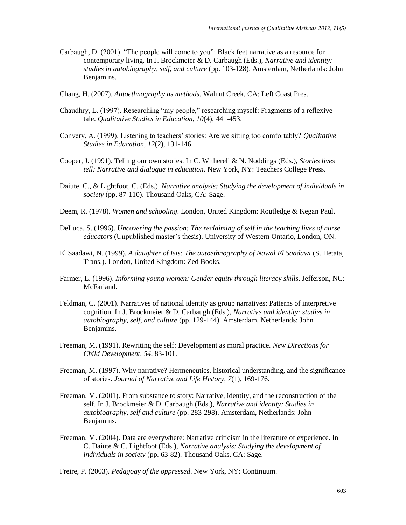- Carbaugh, D. (2001). "The people will come to you": Black feet narrative as a resource for contemporary living. In J. Brockmeier & D. Carbaugh (Eds.), *Narrative and identity: studies in autobiography, self, and culture* (pp. 103-128). Amsterdam, Netherlands: John Benjamins.
- Chang, H. (2007). *Autoethnography as methods*. Walnut Creek, CA: Left Coast Pres.
- Chaudhry, L. (1997). Researching "my people," researching myself: Fragments of a reflexive tale. *Qualitative Studies in Education, 10*(4), 441-453.
- Convery, A. (1999). Listening to teachers' stories: Are we sitting too comfortably? *Qualitative Studies in Education, 12*(2), 131-146.
- Cooper, J. (1991). Telling our own stories. In C. Witherell & N. Noddings (Eds.), *Stories lives tell: Narrative and dialogue in education*. New York, NY: Teachers College Press.
- Daiute, C., & Lightfoot, C. (Eds.), *Narrative analysis: Studying the development of individuals in society* (pp. 87-110). Thousand Oaks, CA: Sage.
- Deem, R. (1978). *Women and schooling*. London, United Kingdom: Routledge & Kegan Paul.
- DeLuca, S. (1996). *Uncovering the passion: The reclaiming of self in the teaching lives of nurse educators* (Unpublished master's thesis). University of Western Ontario, London, ON.
- El Saadawi, N. (1999). *A daughter of Isis: The autoethnography of Nawal El Saadawi* (S. Hetata, Trans.). London, United Kingdom: Zed Books.
- Farmer, L. (1996). *Informing young women: Gender equity through literacy skills*. Jefferson, NC: McFarland.
- Feldman, C. (2001). Narratives of national identity as group narratives: Patterns of interpretive cognition. In J. Brockmeier & D. Carbaugh (Eds.), *Narrative and identity: studies in autobiography, self, and culture* (pp. 129-144). Amsterdam, Netherlands: John Benjamins.
- Freeman, M. (1991). Rewriting the self: Development as moral practice. *New Directions for Child Development, 54*, 83-101.
- Freeman, M. (1997). Why narrative? Hermeneutics, historical understanding, and the significance of stories. *Journal of Narrative and Life History, 7*(1), 169-176.
- Freeman, M. (2001). From substance to story: Narrative, identity, and the reconstruction of the self. In J. Brockmeier & D. Carbaugh (Eds.), *Narrative and identity: Studies in autobiography, self and culture* (pp. 283-298). Amsterdam, Netherlands: John Benjamins.
- Freeman, M. (2004). Data are everywhere: Narrative criticism in the literature of experience. In C. Daiute & C. Lightfoot (Eds.), *Narrative analysis: Studying the development of individuals in society* (pp. 63-82). Thousand Oaks, CA: Sage.

Freire, P. (2003). *Pedagogy of the oppressed*. New York, NY: Continuum.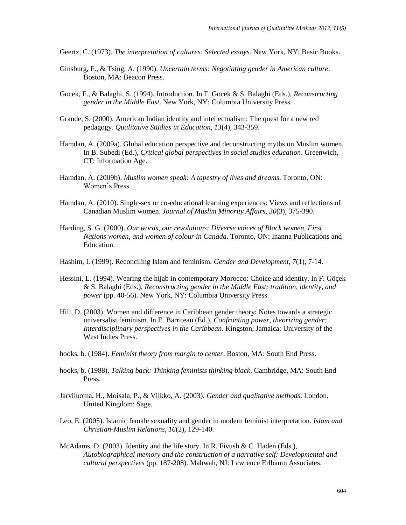- Geertz, C. (1973). *The interpretation of cultures: Selected essays*. New York, NY: Basic Books.
- Ginsburg, F., & Tsing, A. (1990). *Uncertain terms: Negotiating gender in American culture*. Boston, MA: Beacon Press.
- Gocek, F., & Balaghi, S. (1994). Introduction. In F. Gocek & S. Balaghi (Eds.), *Reconstructing gender in the Middle East*. New York, NY: Columbia University Press.
- Grande, S. (2000). American Indian identity and intellectualism: The quest for a new red pedagogy. *Qualitative Studies in Education, 13*(4), 343-359.
- Hamdan, A. (2009a). Global education perspective and deconstructing myths on Muslim women. In B. Subedi (Ed.), *Critical global perspectives in social studies education*. Greenwich, CT: Information Age.
- Hamdan, A. (2009b). *Muslim women speak: A tapestry of lives and dreams*. Toronto, ON: Women's Press.
- Hamdan, A. (2010). Single-sex or co-educational learning experiences: Views and reflections of Canadian Muslim women. *Journal of Muslim Minority Affairs, 30*(3), 375-390.
- Harding, S. G. (2000). *Our words, our revolutions: Di/verse voices of Black women, First Nations women, and women of colour in Canada*. Toronto, ON: Inanna Publications and Education.
- Hashim, I. (1999). Reconciling Islam and feminism. *Gender and Development, 7*(1), 7-14.
- Hessini, L. (1994). Wearing the hijab in contemporary Morocco: Choice and identity. In F. Göçek & S. Balaghi (Eds.), *Reconstructing gender in the Middle East: tradition, identity, and power* (pp. 40-56). New York, NY: Columbia University Press.
- Hill, D. (2003). Women and difference in Caribbean gender theory: Notes towards a strategic universalist feminism. In E. Barriteau (Ed.), *Confronting power, theorizing gender: Interdisciplinary perspectives in the Caribbean*. Kingston, Jamaica: University of the West Indies Press.
- hooks, b. (1984). *Feminist theory from margin to center*. Boston, MA: South End Press.
- hooks, b. (1988). *Talking back: Thinking feminists thinking black*. Cambridge, MA: South End Press.
- Jarviluoma, H., Moisala, P., & Vilkko, A. (2003). *Gender and qualitative methods*. London, United Kingdom: Sage.
- Leo, E. (2005). Islamic female sexuality and gender in modern feminist interpretation. *Islam and Christian-Muslim Relations, 16*(2), 129-140.
- McAdams, D. (2003). Identity and the life story. In R. Fivush & C. Haden (Eds.), *Autobiographical memory and the construction of a narrative self: Developmental and cultural perspectives* (pp. 187-208). Mahwah, NJ: Lawrence Erlbaum Associates.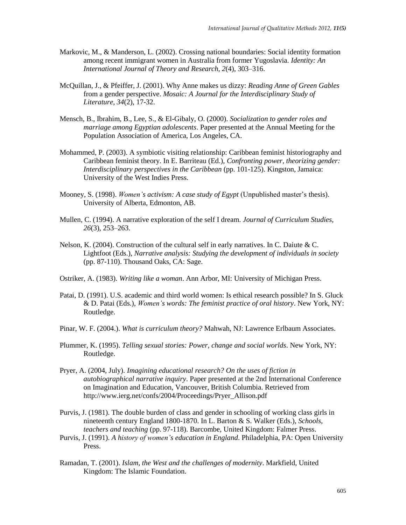- Markovic, M., & Manderson, L. (2002). Crossing national boundaries: Social identity formation among recent immigrant women in Australia from former Yugoslavia. *Identity: An International Journal of Theory and Research, 2*(4), 303–316.
- McQuillan, J., & Pfeiffer, J. (2001). Why Anne makes us dizzy: *Reading Anne of Green Gables* from a gender perspective. *Mosaic: A Journal for the Interdisciplinary Study of Literature, 34*(2), 17-32.
- Mensch, B., Ibrahim, B., Lee, S., & El-Gibaly, O. (2000). *Socialization to gender roles and marriage among Egyptian adolescents*. Paper presented at the Annual Meeting for the Population Association of America, Los Angeles, CA.
- Mohammed, P. (2003). A symbiotic visiting relationship: Caribbean feminist historiography and Caribbean feminist theory. In E. Barriteau (Ed.), *Confronting power, theorizing gender: Interdisciplinary perspectives in the Caribbean* (pp. 101-125). Kingston, Jamaica: University of the West Indies Press.
- Mooney, S. (1998). *Women's activism: A case study of Egypt* (Unpublished master's thesis). University of Alberta, Edmonton, AB.
- Mullen, C. (1994). A narrative exploration of the self I dream. *Journal of Curriculum Studies, 26*(3), 253–263.
- Nelson, K. (2004). Construction of the cultural self in early narratives. In C. Daiute & C. Lightfoot (Eds.), *Narrative analysis: Studying the development of individuals in society* (pp. 87-110). Thousand Oaks, CA: Sage.
- Ostriker, A. (1983). *Writing like a woman*. Ann Arbor, MI: University of Michigan Press.
- Patai, D. (1991). U.S. academic and third world women: Is ethical research possible? In S. Gluck & D. Patai (Eds.), *Women's words: The feminist practice of oral history*. New York, NY: Routledge.
- Pinar, W. F. (2004.). *What is curriculum theory?* Mahwah, NJ: Lawrence Erlbaum Associates.
- Plummer, K. (1995). *Telling sexual stories: Power, change and social worlds*. New York, NY: Routledge.
- Pryer, A. (2004, July). *Imagining educational research? On the uses of fiction in autobiographical narrative inquiry*. Paper presented at the 2nd International Conference on Imagination and Education, Vancouver, British Columbia. Retrieved from http://www.ierg.net/confs/2004/Proceedings/Pryer\_Allison.pdf
- Purvis, J. (1981). The double burden of class and gender in schooling of working class girls in nineteenth century England 1800-1870. In L. Barton & S. Walker (Eds.), *Schools, teachers and teaching* (pp. 97-118). Barcombe, United Kingdom: Falmer Press.
- Purvis, J. (1991). *A history of women's education in England*. Philadelphia, PA: Open University Press.
- Ramadan, T. (2001). *Islam, the West and the challenges of modernity*. Markfield, United Kingdom: The Islamic Foundation.